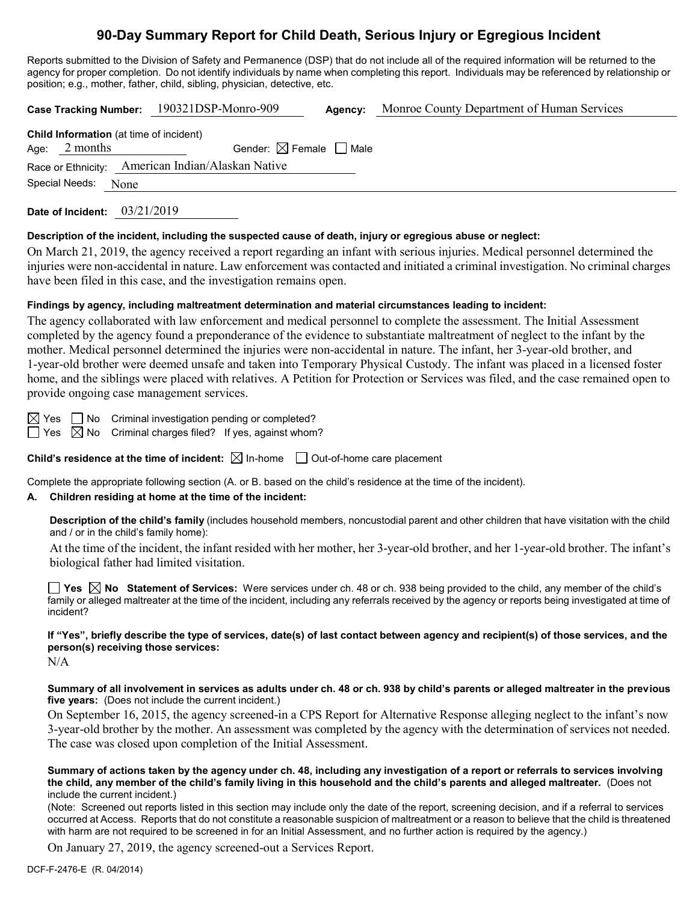# **90-Day Summary Report for Child Death, Serious Injury or Egregious Incident**

Reports submitted to the Division of Safety and Permanence (DSP) that do not include all of the required information will be returned to the agency for proper completion. Do not identify individuals by name when completing this report. Individuals may be referenced by relationship or position; e.g., mother, father, child, sibling, physician, detective, etc.

|  |                 |                                                   | Case Tracking Number: 190321DSP-Monro-909 |  | Monroe County Department of Human Services |  |
|--|-----------------|---------------------------------------------------|-------------------------------------------|--|--------------------------------------------|--|
|  |                 | <b>Child Information</b> (at time of incident)    |                                           |  |                                            |  |
|  | Age: $2$ months |                                                   | Gender: $\boxtimes$ Female $\Box$ Male    |  |                                            |  |
|  |                 | Race or Ethnicity: American Indian/Alaskan Native |                                           |  |                                            |  |
|  | Special Needs:  | None                                              |                                           |  |                                            |  |
|  |                 |                                                   |                                           |  |                                            |  |

**Date of Incident:** 03/21/2019

### **Description of the incident, including the suspected cause of death, injury or egregious abuse or neglect:**

On March 21, 2019, the agency received a report regarding an infant with serious injuries. Medical personnel determined the injuries were non-accidental in nature. Law enforcement was contacted and initiated a criminal investigation. No criminal charges have been filed in this case, and the investigation remains open.

### **Findings by agency, including maltreatment determination and material circumstances leading to incident:**

The agency collaborated with law enforcement and medical personnel to complete the assessment. The Initial Assessment completed by the agency found a preponderance of the evidence to substantiate maltreatment of neglect to the infant by the mother. Medical personnel determined the injuries were non-accidental in nature. The infant, her 3-year-old brother, and 1-year-old brother were deemed unsafe and taken into Temporary Physical Custody. The infant was placed in a licensed foster home, and the siblings were placed with relatives. A Petition for Protection or Services was filed, and the case remained open to provide ongoing case management services.

 $\boxtimes$  Yes  $\Box$  No Criminal investigation pending or completed?

 $\Box$  Yes  $\boxtimes$  No Criminal charges filed? If yes, against whom?

**Child's residence at the time of incident:**  $\boxtimes$  In-home  $\Box$  Out-of-home care placement

Complete the appropriate following section (A. or B. based on the child's residence at the time of the incident).

# **A. Children residing at home at the time of the incident:**

**Description of the child's family** (includes household members, noncustodial parent and other children that have visitation with the child and / or in the child's family home):

At the time of the incident, the infant resided with her mother, her 3-year-old brother, and her 1-year-old brother. The infant's biological father had limited visitation.

**Yes No Statement of Services:** Were services under ch. 48 or ch. 938 being provided to the child, any member of the child's family or alleged maltreater at the time of the incident, including any referrals received by the agency or reports being investigated at time of incident?

**If "Yes", briefly describe the type of services, date(s) of last contact between agency and recipient(s) of those services, and the person(s) receiving those services:**

 $N/A$ 

**Summary of all involvement in services as adults under ch. 48 or ch. 938 by child's parents or alleged maltreater in the previous five years:** (Does not include the current incident.)

On September 16, 2015, the agency screened-in a CPS Report for Alternative Response alleging neglect to the infant's now 3-year-old brother by the mother. An assessment was completed by the agency with the determination of services not needed. The case was closed upon completion of the Initial Assessment.

**Summary of actions taken by the agency under ch. 48, including any investigation of a report or referrals to services involving the child, any member of the child's family living in this household and the child's parents and alleged maltreater.** (Does not include the current incident.)

(Note: Screened out reports listed in this section may include only the date of the report, screening decision, and if a referral to services occurred at Access. Reports that do not constitute a reasonable suspicion of maltreatment or a reason to believe that the child is threatened with harm are not required to be screened in for an Initial Assessment, and no further action is required by the agency.)

On January 27, 2019, the agency screened-out a Services Report.